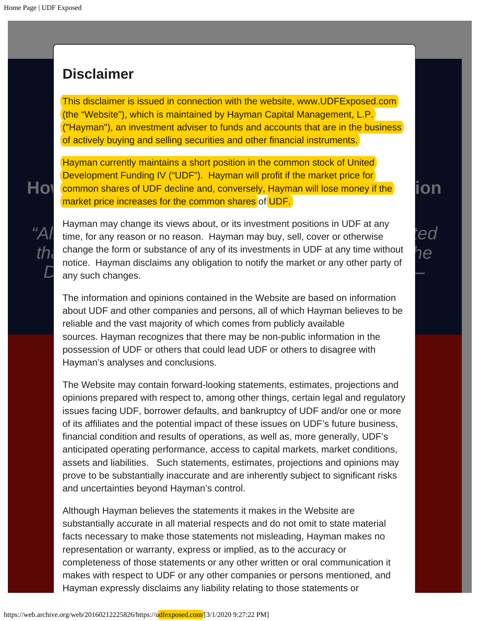## <span id="page-0-0"></span>**Disclaimer**

hich is maintained by Hayman Capital Manager<br>vestment adviser to funds and accounts that are<br>and selling securities and other financial instrur This disclaimer is issued in connection with the website, www.UDFExposed.com (the "Website"), which is maintained by Hayman Capital Management, L.P. ("Hayman"), an investment adviser to funds and accounts that are in the business of actively buying and selling securities and other financial instruments.

**How** common shares of UDF decline and, conversely, Hayman will lose money if the **ion** market price increases for the common shares of <mark>UDF.</mark><br>———————————————————— Hayman currently maintains a short position in the common stock of United Development Funding IV ("UDF"). Hayman will profit if the market price for

"Almost like the game of musical chairs of the gases, it is investment pections in SDT at any  $tea$ **th** change the form or substance of any of its investments in UDF at any time without **here** notice. However disclaims any obligation to potify the market or any other party of notice. Hayman disclaims any obligation to notify the market or any other party of Hayman may change its views about, or its investment positions in UDF at any any such changes.

The information and opinions contained in the Website are based on information possession of UDF or others that could lead UDF or others to disagree with<br>... about UDF and other companies and persons, all of which Hayman believes to be reliable and the vast majority of which comes from publicly available sources. Hayman recognizes that there may be non-public information in the Hayman's analyses and conclusions.

opinions prepared with respect to, among other things, certain legal and regulatory financial condition and results of operations, as well as, more generally, UDF's prove to be substantially inaccu[rate and are inhere](https://web.archive.org/web/20160212225826/https://udfexposed.com/myth-reality)ntly subject to significant risks The Website may contain forward-looking statements, estimates, projections and issues facing UDF, borrower defaults, and bankruptcy of UDF and/or one or more of its affiliates and the potential impact of these issues on UDF's future business, anticipated operating performance, access to capital markets, market conditions, assets and liabilities. Such statements, estimates, projections and opinions may and uncertainties beyond Hayman's control.

**[NEWS & RESEARCH](https://web.archive.org/web/20160212225826/https://udfexposed.com/news)** substantially accurate in all material respects and do not omit to state material completeness of those statements or any other written or oral communication it Although Hayman believes the statements it makes in the Website are facts necessary to make those statements not misleading, Hayman makes no representation or warranty, express or implied, as to the accuracy or makes with respect to UDF or any other companies or persons mentioned, and Hayman expressly disclaims any liability relating to those statements or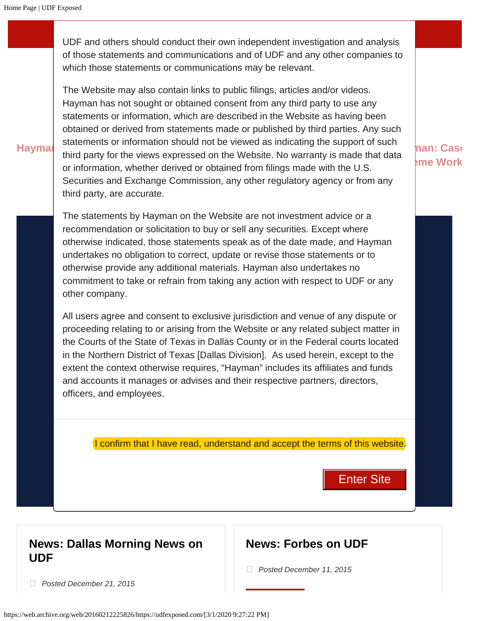UDF and others should conduct their own independent investigation and analysis of those statements and communications and of UDF and any other companies to which those statements or communications may be relevant.

Hayman: Character of mising and the use of the second the Website. No warranty is made that data **Conflict of Interest** or information, whether derived or obtained from filings made with the U.S. The Website may also contain links to public filings, articles and/or videos. Hayman has not sought or obtained consent from any third party to use any statements or information, which are described in the Website as having been obtained or derived from statements made or published by third parties. Any such statements or information should not be viewed as indicating the support of such Securities and Exchange Commission, any other regulatory agency or from any third party, are accurate.

> **K** K<sub>now</sub> Speak as of the The statements by Hayman on the Website are not investment advice or a recommendation or solicitation to buy or sell any securities. Except where otherwise indicated, those statements speak as of the date made, and Hayman undertakes no obligation to correct, update or revise those statements or to otherwise provide any additional materials. Hayman also undertakes no commitment to take or refrain from taking any action with respect to UDF or any other company.

All users agree and consent to exclusive jurisdiction and venue of any dispute or proceeding relating to or arising from the Website or any related subject matter in the Courts of the State of Texas in Dallas County or in the Federal courts located in the Northern District of Texas [Dallas Division]. As used herein, except to the extent the context otherwise requires, "Hayman" includes its affiliates and funds and accounts it manages or advises and their respective partners, directors, officers, and employees.

I confirm that I have read, understand and accept the terms of this website.

**ENTER SITE** Enter Site

**han: Case Scheme Work**

## **[News: Dallas Morning News on](https://web.archive.org/web/20160212225826/http://www.dallasnews.com/business/stocks/20151221-anonymous-allegations-of-improper-deals-hammer-united-development-fundings-stock.ece) [UDF](https://web.archive.org/web/20160212225826/http://www.dallasnews.com/business/stocks/20151221-anonymous-allegations-of-improper-deals-hammer-united-development-fundings-stock.ece)**

## **[News: Forbes on UDF](https://web.archive.org/web/20160212225826/http://www.forbes.com/sites/bradthomas/2015/12/11/this-could-be-texas-toast-for-united-development-funding/#4bc0c1fd12c1739f8c8612c1)**

 *Posted December 11, 2015*

 *Posted December 21, 2015*

https://web.archive.org/web/20160212225826/https://udfexposed.com/[3/1/2020 9:27:22 PM]